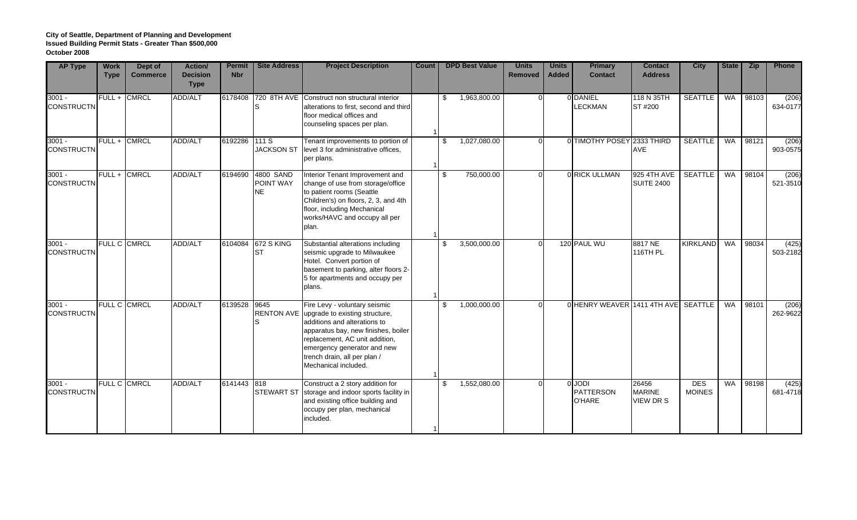| <b>AP Type</b>                | <b>Work</b><br><b>Type</b> | Dept of<br><b>Commerce</b> | <b>Action/</b><br><b>Decision</b><br><b>Type</b> | <b>Permit</b><br><b>Nbr</b> | <b>Site Address</b>          | <b>Project Description</b>                                                                                                                                                                                                                                                 | Count | <b>DPD Best Value</b> | <b>Units</b><br><b>Removed</b> | <b>Units</b><br><b>Added</b> | <b>Primary</b><br><b>Contact</b>                   | <b>Contact</b><br><b>Address</b>           | <b>City</b>                 | State     | <b>Zip</b> | Phone             |
|-------------------------------|----------------------------|----------------------------|--------------------------------------------------|-----------------------------|------------------------------|----------------------------------------------------------------------------------------------------------------------------------------------------------------------------------------------------------------------------------------------------------------------------|-------|-----------------------|--------------------------------|------------------------------|----------------------------------------------------|--------------------------------------------|-----------------------------|-----------|------------|-------------------|
| $3001 -$<br><b>CONSTRUCTN</b> |                            | FULL + CMRCL               | <b>ADD/ALT</b>                                   | 6178408                     |                              | 720 8TH AVE Construct non structural interior<br>alterations to first, second and third<br>floor medical offices and<br>counseling spaces per plan.                                                                                                                        |       | 1,963,800.00<br>\$    |                                |                              | 0 DANIEL<br><b>LECKMAN</b>                         | 118 N 35TH<br>ST #200                      | <b>SEATTLE</b>              | WA        | 98103      | (206)<br>634-0177 |
| $3001 -$<br><b>CONSTRUCTN</b> | FULL + CMRCL               |                            | <b>ADD/ALT</b>                                   | 6192286                     | 111 S<br><b>JACKSON ST</b>   | Tenant improvements to portion of<br>level 3 for administrative offices,<br>per plans.                                                                                                                                                                                     |       | 1,027,080.00<br>\$    |                                |                              | 0 TIMOTHY POSEY 2333 THIRD                         | <b>AVE</b>                                 | <b>SEATTLE</b>              | <b>WA</b> | 98121      | (206)<br>903-0575 |
| $3001 -$<br><b>CONSTRUCTN</b> | FULL + CMRCL               |                            | <b>ADD/ALT</b>                                   | 6194690                     | 4800 SAND<br>POINT WAY<br>NE | Interior Tenant Improvement and<br>change of use from storage/office<br>to patient rooms (Seattle<br>Children's) on floors, 2, 3, and 4th<br>floor, including Mechanical<br>works/HAVC and occupy all per<br>plan.                                                         |       | 750,000.00<br>\$      |                                |                              | 0 RICK ULLMAN                                      | 925 4TH AVE<br><b>SUITE 2400</b>           | <b>SEATTLE</b>              | WA        | 98104      | (206)<br>521-3510 |
| $3001 -$<br><b>CONSTRUCTN</b> |                            | FULL C CMRCL               | <b>ADD/ALT</b>                                   | 6104084                     | 672 S KING<br><b>ST</b>      | Substantial alterations including<br>seismic upgrade to Milwaukee<br>Hotel. Convert portion of<br>basement to parking, alter floors 2-<br>5 for apartments and occupy per<br>plans.                                                                                        |       | 3,500,000.00<br>-S    |                                |                              | 120 PAUL WU                                        | 8817 NE<br>116TH PL                        | <b>KIRKLAND</b>             | <b>WA</b> | 98034      | (425)<br>503-2182 |
| $3001 -$<br><b>CONSTRUCTN</b> | FULL C CMRCL               |                            | <b>ADD/ALT</b>                                   | 6139528                     | 9645                         | Fire Levy - voluntary seismic<br>RENTON AVE upgrade to existing structure,<br>additions and alterations to<br>apparatus bay, new finishes, boiler<br>replacement, AC unit addition,<br>emergency generator and new<br>trench drain, all per plan /<br>Mechanical included. |       | 1,000,000.00<br>\$    |                                |                              | 0 HENRY WEAVER 1411 4TH AVE SEATTLE                |                                            |                             | WA        | 98101      | (206)<br>262-9622 |
| $3001 -$<br><b>CONSTRUCTN</b> |                            | FULL C CMRCL               | <b>ADD/ALT</b>                                   | 6141443                     | 818<br><b>STEWART ST</b>     | Construct a 2 story addition for<br>storage and indoor sports facility in<br>and existing office building and<br>occupy per plan, mechanical<br>included.                                                                                                                  |       | 1,552,080.00<br>-\$   |                                |                              | <b>OLJODI</b><br><b>PATTERSON</b><br><b>O'HARE</b> | 26456<br><b>MARINE</b><br><b>VIEW DR S</b> | <b>DES</b><br><b>MOINES</b> | WA        | 98198      | (425)<br>681-4718 |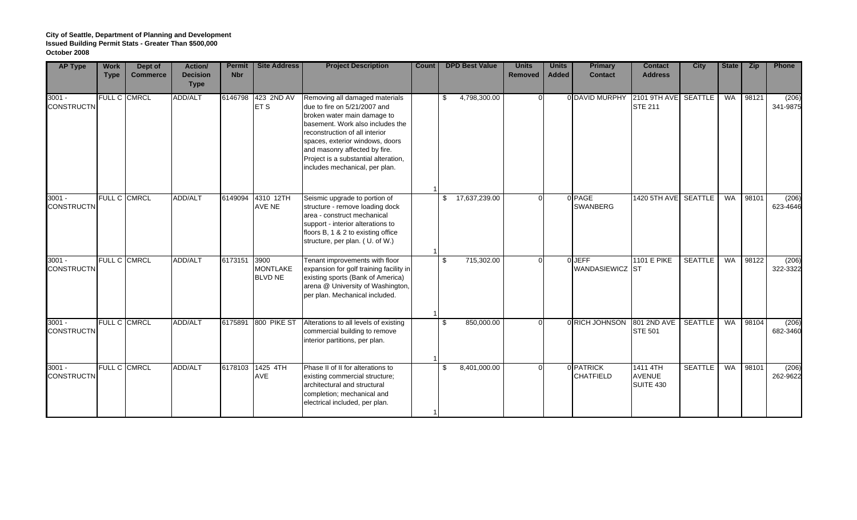| <b>AP Type</b>                | <b>Work</b><br><b>Type</b> | Dept of<br><b>Commerce</b> | <b>Action/</b><br><b>Decision</b><br><b>Type</b> | <b>Permit</b><br><b>Nbr</b> | <b>Site Address</b>                       | <b>Project Description</b>                                                                                                                                                                                                                                                                                        | Count | <b>DPD Best Value</b> | <b>Units</b><br><b>Removed</b> | <b>Units</b><br><b>Added</b> | <b>Primary</b><br><b>Contact</b> | <b>Contact</b><br><b>Address</b>       | <b>City</b>    | State     | <b>Zip</b> | Phone             |
|-------------------------------|----------------------------|----------------------------|--------------------------------------------------|-----------------------------|-------------------------------------------|-------------------------------------------------------------------------------------------------------------------------------------------------------------------------------------------------------------------------------------------------------------------------------------------------------------------|-------|-----------------------|--------------------------------|------------------------------|----------------------------------|----------------------------------------|----------------|-----------|------------|-------------------|
| $3001 -$<br><b>CONSTRUCTN</b> |                            | FULL C CMRCL               | ADD/ALT                                          | 6146798                     | 423 2ND AV<br>ET S                        | Removing all damaged materials<br>due to fire on 5/21/2007 and<br>broken water main damage to<br>basement. Work also includes the<br>reconstruction of all interior<br>spaces, exterior windows, doors<br>and masonry affected by fire.<br>Project is a substantial alteration,<br>includes mechanical, per plan. |       | 4,798,300.00<br>\$    |                                |                              | 0 DAVID MURPHY                   | 2101 9TH AVE SEATTLE<br><b>STE 211</b> |                | <b>WA</b> | 98121      | (206)<br>341-9875 |
| $3001 -$<br><b>CONSTRUCTN</b> |                            | FULL C CMRCL               | <b>ADD/ALT</b>                                   | 6149094                     | 4310 12TH<br>AVE NE                       | Seismic upgrade to portion of<br>structure - remove loading dock<br>area - construct mechanical<br>support - interior alterations to<br>floors B, 1 & 2 to existing office<br>structure, per plan. (U. of W.)                                                                                                     |       | 17,637,239.00<br>\$   |                                |                              | 0 PAGE<br><b>SWANBERG</b>        | 1420 5TH AVE SEATTLE                   |                | WA        | 98101      | (206)<br>623-4646 |
| $3001 -$<br><b>CONSTRUCTN</b> |                            | FULL C CMRCL               | ADD/ALT                                          | 6173151                     | 3900<br><b>MONTLAKE</b><br><b>BLVD NE</b> | Tenant improvements with floor<br>expansion for golf training facility in<br>existing sports (Bank of America)<br>arena @ University of Washington,<br>per plan. Mechanical included.                                                                                                                             |       | \$<br>715,302.00      |                                |                              | 0 JEFF<br>WANDASIEWICZ ST        | <b>1101 E PIKE</b>                     | <b>SEATTLE</b> | WA        | 98122      | (206)<br>322-3322 |
| $3001 -$<br><b>CONSTRUCTN</b> |                            | FULL C CMRCL               | <b>ADD/ALT</b>                                   | 6175891                     | 800 PIKE ST                               | Alterations to all levels of existing<br>commercial building to remove<br>interior partitions, per plan.                                                                                                                                                                                                          |       | 850,000.00<br>\$      |                                |                              | 0 RICH JOHNSON                   | 801 2ND AVE<br><b>STE 501</b>          | <b>SEATTLE</b> | <b>WA</b> | 98104      | (206)<br>682-3460 |
| $3001 -$<br><b>CONSTRUCTN</b> |                            | FULL C CMRCL               | ADD/ALT                                          | 6178103                     | 1425 4TH<br>AVE                           | Phase II of II for alterations to<br>existing commercial structure;<br>architectural and structural<br>completion; mechanical and<br>electrical included, per plan.                                                                                                                                               |       | 8,401,000.00<br>\$    |                                |                              | 0 PATRICK<br><b>CHATFIELD</b>    | 1411 4TH<br><b>AVENUE</b><br>SUITE 430 | <b>SEATTLE</b> | WA        | 98101      | (206)<br>262-9622 |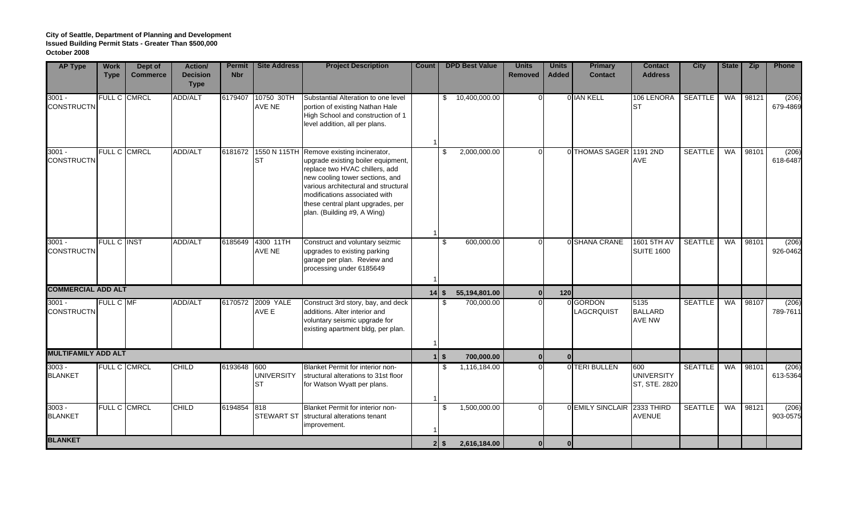| <b>AP Type</b>                | <b>Work</b><br><b>Type</b> | Dept of<br><b>Commerce</b> | <b>Action/</b><br><b>Decision</b><br><b>Type</b> | <b>Permit</b><br><b>Nbr</b> | <b>Site Address</b>                   | <b>Project Description</b>                                                                                                                                                                                                                                                           | Count   | <b>DPD Best Value</b>  | <b>Units</b><br><b>Removed</b> | <b>Units</b><br><b>Added</b> | <b>Primary</b><br><b>Contact</b> | <b>Contact</b><br><b>Address</b>          | <b>City</b>    | <b>State</b> | <b>Zip</b> | Phone             |
|-------------------------------|----------------------------|----------------------------|--------------------------------------------------|-----------------------------|---------------------------------------|--------------------------------------------------------------------------------------------------------------------------------------------------------------------------------------------------------------------------------------------------------------------------------------|---------|------------------------|--------------------------------|------------------------------|----------------------------------|-------------------------------------------|----------------|--------------|------------|-------------------|
| $3001 -$<br><b>CONSTRUCTN</b> | FULL C CMRCL               |                            | ADD/ALT                                          | 6179407                     | 10750 30TH<br>AVE NE                  | Substantial Alteration to one level<br>portion of existing Nathan Hale<br>High School and construction of 1<br>level addition, all per plans.                                                                                                                                        |         | 10,400,000.00<br>\$    |                                |                              | 0 IAN KELL                       | 106 LENORA<br><b>ST</b>                   | <b>SEATTLE</b> | <b>WA</b>    | 98121      | (206)<br>679-4869 |
| $3001 -$<br><b>CONSTRUCTN</b> |                            | FULL C CMRCL               | ADD/ALT                                          | 6181672                     | 1550 N 115TH<br><b>ST</b>             | Remove existing incinerator,<br>upgrade existing boiler equipment,<br>replace two HVAC chillers, add<br>new cooling tower sections, and<br>various architectural and structural<br>modifications associated with<br>these central plant upgrades, per<br>plan. (Building #9, A Wing) |         | 2,000,000.00<br>\$     |                                |                              | 0 THOMAS SAGER 1191 2ND          | <b>AVE</b>                                | <b>SEATTLE</b> | <b>WA</b>    | 98101      | (206)<br>618-6487 |
| $3001 -$<br><b>CONSTRUCTN</b> | FULL C INST                |                            | <b>ADD/ALT</b>                                   | 6185649                     | 4300 11TH<br>AVE NE                   | Construct and voluntary seizmic<br>upgrades to existing parking<br>garage per plan. Review and<br>processing under 6185649                                                                                                                                                           |         | 600,000.00<br>\$       | $\Omega$                       |                              | 0 SHANA CRANE                    | 1601 5TH AV<br><b>SUITE 1600</b>          | <b>SEATTLE</b> | <b>WA</b>    | 98101      | (206)<br>926-0462 |
| <b>COMMERCIAL ADD ALT</b>     |                            |                            |                                                  |                             |                                       |                                                                                                                                                                                                                                                                                      | $14$ \$ | 55,194,801.00          |                                | 120                          |                                  |                                           |                |              |            |                   |
| $3001 -$<br><b>CONSTRUCTN</b> | <b>FULL C MF</b>           |                            | ADD/ALT                                          | 6170572                     | 2009 YALE<br>AVE E                    | Construct 3rd story, bay, and deck<br>additions. Alter interior and<br>voluntary seismic upgrade for<br>existing apartment bldg, per plan.                                                                                                                                           |         | 700,000.00<br>\$       |                                |                              | 0 GORDON<br>LAGCRQUIST           | 5135<br><b>BALLARD</b><br><b>AVE NW</b>   | <b>SEATTLE</b> | <b>WA</b>    | 98107      | (206)<br>789-7611 |
| <b>MULTIFAMILY ADD ALT</b>    |                            |                            |                                                  |                             |                                       |                                                                                                                                                                                                                                                                                      |         | 11S<br>700,000.00      | $\mathbf{0}$                   | 0                            |                                  |                                           |                |              |            |                   |
| $3003 -$<br><b>BLANKET</b>    | FULL C CMRCL               |                            | <b>CHILD</b>                                     | 6193648                     | 600<br><b>UNIVERSITY</b><br><b>ST</b> | Blanket Permit for interior non-<br>structural alterations to 31st floor<br>for Watson Wyatt per plans.                                                                                                                                                                              |         | 1,116,184.00<br>\$     | $\Omega$                       |                              | 0 TERI BULLEN                    | 600<br><b>UNIVERSITY</b><br>ST, STE. 2820 | <b>SEATTLE</b> |              | WA 98101   | (206)<br>613-5364 |
| $3003 -$<br><b>BLANKET</b>    | FULL C CMRCL               |                            | <b>CHILD</b>                                     | 6194854                     | 818<br><b>STEWART ST</b>              | Blanket Permit for interior non-<br>structural alterations tenant<br>improvement.                                                                                                                                                                                                    |         | 1,500,000.00<br>\$     | $\Omega$                       |                              | 0 EMILY SINCLAIR 2333 THIRD      | <b>AVENUE</b>                             | <b>SEATTLE</b> | WA           | 98121      | (206)<br>903-0575 |
| <b>BLANKET</b>                |                            |                            |                                                  |                             |                                       |                                                                                                                                                                                                                                                                                      |         | 2,616,184.00<br>$2$ \$ | 0 I                            | -ol                          |                                  |                                           |                |              |            |                   |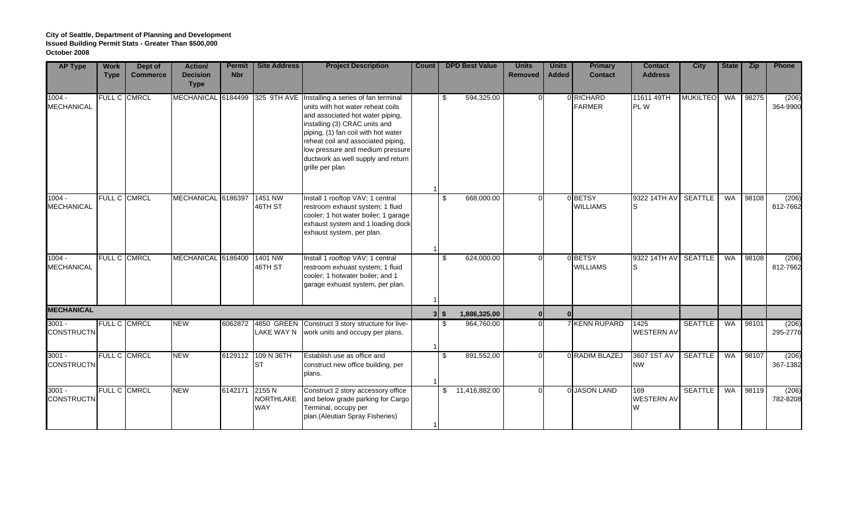| <b>AP Type</b>                | <b>Work</b><br><b>Type</b> | Dept of<br><b>Commerce</b> | <b>Action/</b><br><b>Decision</b><br><b>Type</b> | <b>Permit</b><br><b>Nbr</b> | <b>Site Address</b>               | <b>Project Description</b>                                                                                                                                                                                                                                                                                                          | Count | <b>DPD Best Value</b>       | <b>Units</b><br><b>Removed</b> | <b>Units</b><br><b>Added</b> | <b>Primary</b><br><b>Contact</b> | <b>Contact</b><br><b>Address</b> | <b>City</b>     | State     | Zip   | Phone             |
|-------------------------------|----------------------------|----------------------------|--------------------------------------------------|-----------------------------|-----------------------------------|-------------------------------------------------------------------------------------------------------------------------------------------------------------------------------------------------------------------------------------------------------------------------------------------------------------------------------------|-------|-----------------------------|--------------------------------|------------------------------|----------------------------------|----------------------------------|-----------------|-----------|-------|-------------------|
| $1004 -$<br><b>MECHANICAL</b> |                            | FULL C CMRCL               | <b>MECHANICAL</b>                                | 6184499                     |                                   | 325 9TH AVE Installing a series of fan terminal<br>units with hot water reheat coils<br>and associated hot water piping,<br>installing (3) CRAC units and<br>piping, (1) fan coil with hot water<br>reheat coil and associated piping,<br>low pressure and medium pressure<br>ductwork as well supply and return<br>grille per plan |       | 594,325.00<br>\$            |                                |                              | 0 RICHARD<br><b>FARMER</b>       | 11611 49TH<br>PL W               | <b>MUKILTEO</b> | <b>WA</b> | 98275 | (206)<br>364-9900 |
| $1004 -$<br><b>MECHANICAL</b> |                            | FULL C CMRCL               | MECHANICAL 6186397                               |                             | 1451 NW<br>46TH ST                | Install 1 rooftop VAV; 1 central<br>restroom exhaust system; 1 fluid<br>cooler; 1 hot water boiler; 1 garage<br>exhaust system and 1 loading dock<br>exhaust system, per plan.                                                                                                                                                      |       | 668,000.00<br>\$            |                                |                              | 0 BETSY<br><b>WILLIAMS</b>       | 9322 14TH AV                     | <b>SEATTLE</b>  | WA        | 98108 | (206)<br>812-7662 |
| $1004 -$<br><b>MECHANICAL</b> |                            | FULL C CMRCL               | MECHANICAL 6186400                               |                             | 1401 NW<br>46TH ST                | Install 1 rooftop VAV; 1 central<br>restroom exhuast system; 1 fluid<br>cooler; 1 hotwater boiler; and 1<br>garage exhuast system, per plan.                                                                                                                                                                                        |       | 624,000.00<br>\$            |                                |                              | 0BETSY<br><b>WILLIAMS</b>        | 9322 14TH AV                     | <b>SEATTLE</b>  | WA        | 98108 | (206)<br>812-7662 |
| <b>MECHANICAL</b>             |                            |                            |                                                  |                             |                                   |                                                                                                                                                                                                                                                                                                                                     |       | 1,886,325.00<br>$3 \mid$ \$ |                                |                              |                                  |                                  |                 |           |       |                   |
| $3001 -$<br><b>CONSTRUCTN</b> |                            | <b>FULL C CMRCL</b>        | <b>NEW</b>                                       | 6062872                     | LAKE WAY N                        | 4850 GREEN Construct 3 story structure for live-<br>work units and occupy per plans.                                                                                                                                                                                                                                                |       | s,<br>964,760.00            |                                |                              | 7 KENN RUPARD                    | 1425<br><b>WESTERN AV</b>        | <b>SEATTLE</b>  | WA        | 98101 | (206)<br>295-2776 |
| $3001 -$<br><b>CONSTRUCTN</b> |                            | FULL C CMRCL               | <b>NEW</b>                                       | 6129112                     | 109 N 36TH<br>ST                  | Establish use as office and<br>construct new office building, per<br>plans.                                                                                                                                                                                                                                                         |       | \$<br>891,552.00            |                                |                              | 0 RADIM BLAZEJ                   | 3607 1ST AV<br><b>NW</b>         | <b>SEATTLE</b>  | <b>WA</b> | 98107 | (206)<br>367-1382 |
| $3001 -$<br><b>CONSTRUCTN</b> |                            | FULL C CMRCL               | <b>NEW</b>                                       | 6142171                     | 2155 N<br>NORTHLAKE<br><b>WAY</b> | Construct 2 story accessory office<br>and below grade parking for Cargo<br>Terminal, occupy per<br>plan. (Aleutian Spray Fisheries)                                                                                                                                                                                                 |       | \$11,416,882.00             |                                |                              | 0 JASON LAND                     | 169<br><b>WESTERN AV</b>         | <b>SEATTLE</b>  | WA        | 98119 | (206)<br>782-8208 |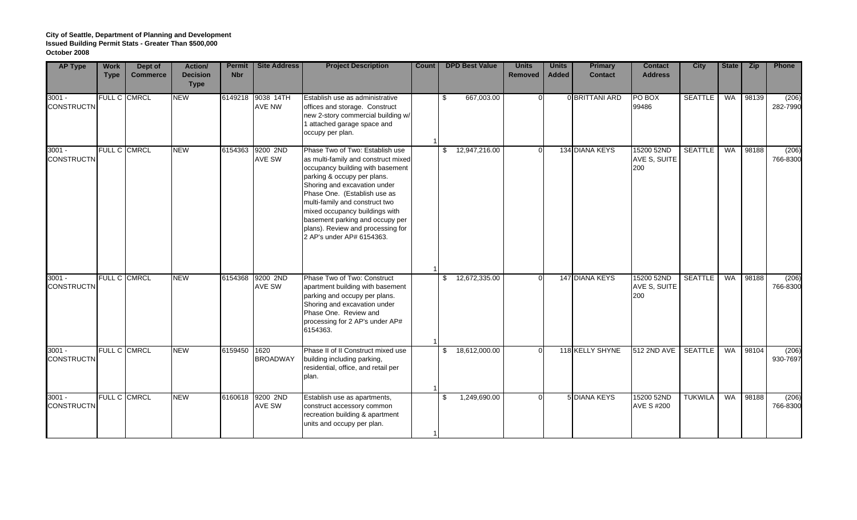| <b>AP Type</b>                | <b>Work</b><br><b>Type</b> | Dept of<br><b>Commerce</b> | Action/<br><b>Decision</b><br><b>Type</b> | <b>Permit</b><br><b>Nbr</b> | <b>Site Address</b>        | <b>Project Description</b>                                                                                                                                                                                                                                                                                                                                                         | Count | <b>DPD Best Value</b> | <b>Units</b><br><b>Removed</b> | <b>Units</b><br><b>Added</b> | <b>Primary</b><br><b>Contact</b> | <b>Contact</b><br><b>Address</b>  | <b>City</b>    | State     | <b>Zip</b> | <b>Phone</b>      |
|-------------------------------|----------------------------|----------------------------|-------------------------------------------|-----------------------------|----------------------------|------------------------------------------------------------------------------------------------------------------------------------------------------------------------------------------------------------------------------------------------------------------------------------------------------------------------------------------------------------------------------------|-------|-----------------------|--------------------------------|------------------------------|----------------------------------|-----------------------------------|----------------|-----------|------------|-------------------|
| $3001 -$<br><b>CONSTRUCTN</b> |                            | FULL C CMRCL               | <b>NEW</b>                                | 6149218                     | 9038 14TH<br>AVE NW        | Establish use as administrative<br>offices and storage. Construct<br>new 2-story commercial building w/<br>1 attached garage space and<br>occupy per plan.                                                                                                                                                                                                                         |       | 667,003.00<br>\$      |                                |                              | 0 BRITTANI ARD                   | PO BOX<br>99486                   | <b>SEATTLE</b> | WA        | 98139      | (206)<br>282-7990 |
| $3001 -$<br><b>CONSTRUCTN</b> |                            | FULL C CMRCL               | <b>NEW</b>                                | 6154363                     | 9200 2ND<br>AVE SW         | Phase Two of Two: Establish use<br>as multi-family and construct mixed<br>occupancy building with basement<br>parking & occupy per plans.<br>Shoring and excavation under<br>Phase One. (Establish use as<br>multi-family and construct two<br>mixed occupancy buildings with<br>basement parking and occupy per<br>plans). Review and processing for<br>2 AP's under AP# 6154363. |       | 12,947,216.00<br>\$   |                                |                              | 134 DIANA KEYS                   | 15200 52ND<br>AVE S, SUITE<br>200 | <b>SEATTLE</b> | <b>WA</b> | 98188      | (206)<br>766-8300 |
| $3001 -$<br><b>CONSTRUCTN</b> |                            | FULL C CMRCL               | <b>NEW</b>                                | 6154368                     | 9200 2ND<br>AVE SW         | Phase Two of Two: Construct<br>apartment building with basement<br>parking and occupy per plans.<br>Shoring and excavation under<br>Phase One. Review and<br>processing for 2 AP's under AP#<br>6154363.                                                                                                                                                                           |       | 12,672,335.00<br>\$   |                                |                              | 147 DIANA KEYS                   | 15200 52ND<br>AVE S, SUITE<br>200 | <b>SEATTLE</b> | WA        | 98188      | (206)<br>766-8300 |
| $3001 -$<br><b>CONSTRUCTN</b> |                            | FULL C CMRCL               | <b>NEW</b>                                | 6159450                     | 1620<br><b>BROADWAY</b>    | Phase II of II Construct mixed use<br>building including parking,<br>residential, office, and retail per<br>plan.                                                                                                                                                                                                                                                                  |       | \$<br>18,612,000.00   |                                |                              | 118 KELLY SHYNE                  | 512 2ND AVE                       | <b>SEATTLE</b> | WA        | 98104      | (206)<br>930-7697 |
| $3001 -$<br><b>CONSTRUCTN</b> |                            | <b>FULL C CMRCL</b>        | <b>NEW</b>                                |                             | 6160618 9200 2ND<br>AVE SW | Establish use as apartments,<br>construct accessory common<br>recreation building & apartment<br>units and occupy per plan.                                                                                                                                                                                                                                                        |       | 1,249,690.00<br>\$    |                                |                              | <b>5 DIANA KEYS</b>              | 15200 52ND<br><b>AVE S #200</b>   | <b>TUKWILA</b> | WA        | 98188      | (206)<br>766-8300 |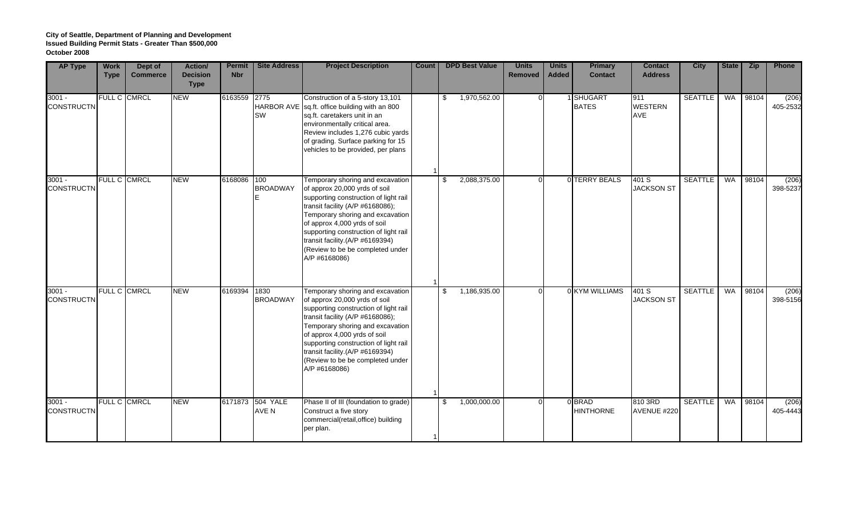| <b>AP Type</b>                | <b>Work</b><br><b>Type</b> | Dept of<br><b>Commerce</b> | Action/<br><b>Decision</b><br><b>Type</b> | <b>Permit</b><br><b>Nbr</b> | <b>Site Address</b>         | <b>Project Description</b>                                                                                                                                                                                                                                                                                                                          | Count | <b>DPD Best Value</b>        | <b>Units</b><br><b>Removed</b> | <b>Units</b><br><b>Added</b> | <b>Primary</b><br><b>Contact</b> | <b>Contact</b><br><b>Address</b> | <b>City</b>    | State     | <b>Zip</b> | <b>Phone</b>      |
|-------------------------------|----------------------------|----------------------------|-------------------------------------------|-----------------------------|-----------------------------|-----------------------------------------------------------------------------------------------------------------------------------------------------------------------------------------------------------------------------------------------------------------------------------------------------------------------------------------------------|-------|------------------------------|--------------------------------|------------------------------|----------------------------------|----------------------------------|----------------|-----------|------------|-------------------|
| $3001 -$<br><b>CONSTRUCTN</b> |                            | FULL C CMRCL               | <b>NEW</b>                                | 6163559 2775                | SW                          | Construction of a 5-story 13,101<br>HARBOR AVE sq.ft. office building with an 800<br>sq.ft. caretakers unit in an<br>environmentally critical area.<br>Review includes 1,276 cubic yards<br>of grading. Surface parking for 15<br>vehicles to be provided, per plans                                                                                |       | 1,970,562.00<br>\$           |                                |                              | 1 SHUGART<br><b>BATES</b>        | 911<br><b>WESTERN</b><br>AVE     | <b>SEATTLE</b> | <b>WA</b> | 98104      | (206)<br>405-2532 |
| $3001 -$<br><b>CONSTRUCTN</b> |                            | FULL C CMRCL               | <b>NEW</b>                                | 6168086                     | 100<br><b>BROADWAY</b><br>E | Temporary shoring and excavation<br>of approx 20,000 yrds of soil<br>supporting construction of light rail<br>transit facility (A/P #6168086);<br>Temporary shoring and excavation<br>of approx 4,000 yrds of soil<br>supporting construction of light rail<br>transit facility.(A/P #6169394)<br>(Review to be be completed under<br>A/P #6168086) |       | 2,088,375.00<br>$\mathbb{S}$ |                                |                              | 0 TERRY BEALS                    | 401 S<br><b>JACKSON ST</b>       | <b>SEATTLE</b> | WA        | 98104      | (206)<br>398-5237 |
| $3001 -$<br><b>CONSTRUCTN</b> |                            | FULL C CMRCL               | <b>NEW</b>                                | 6169394                     | 1830<br><b>BROADWAY</b>     | Temporary shoring and excavation<br>of approx 20,000 yrds of soil<br>supporting construction of light rail<br>transit facility (A/P #6168086);<br>Temporary shoring and excavation<br>of approx 4,000 yrds of soil<br>supporting construction of light rail<br>transit facility.(A/P #6169394)<br>(Review to be be completed under<br>A/P #6168086) |       | 1,186,935.00<br>\$           |                                |                              | 0 KYM WILLIAMS                   | 401 S<br><b>JACKSON ST</b>       | <b>SEATTLE</b> | WA        | 98104      | (206)<br>398-5156 |
| $3001 -$<br><b>CONSTRUCTN</b> |                            | FULL C CMRCL               | <b>NEW</b>                                |                             | 6171873 504 YALE<br>AVE N   | Phase II of III (foundation to grade)<br>Construct a five story<br>commercial(retail, office) building<br>per plan.                                                                                                                                                                                                                                 |       | 1,000,000.00<br>\$           |                                |                              | 0 BRAD<br><b>HINTHORNE</b>       | 810 3RD<br>AVENUE #220           | <b>SEATTLE</b> | WA        | 98104      | (206)<br>405-4443 |